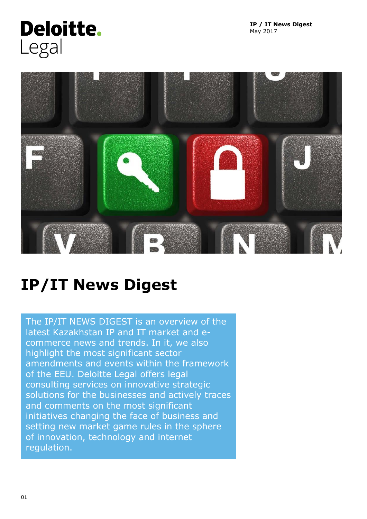

**IP / IT News Digest** May 2017



# **IP/IT News Digest**

The IP/IT NEWS DIGEST is an overview of the latest Kazakhstan IP and IT market and ecommerce news and trends. In it, we also highlight the most significant sector amendments and events within the framework of the EEU. Deloitte Legal offers legal consulting services on innovative strategic solutions for the businesses and actively traces and comments on the most significant initiatives changing the face of business and setting new market game rules in the sphere of innovation, technology and internet regulation.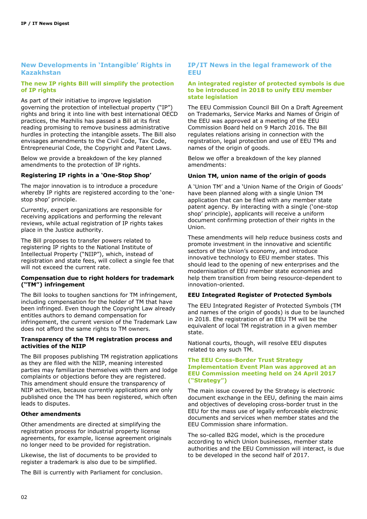# **New Developments in 'Intangible' Rights in Kazakhstan**

## **The new IP rights Bill will simplify the protection of IP rights**

As part of their initiative to improve legislation governing the protection of intellectual property ("IP") rights and bring it into line with best international OECD practices, the Mazhilis has passed a Bill at its first reading promising to remove business administrative hurdles in protecting the intangible assets. The Bill also envisages amendments to the Civil Code, Tax Code, Entrepreneurial Code, the Copyright and Patent Laws.

Below we provide a breakdown of the key planned amendments to the protection of IP rights.

# **Registering IP rights in a 'One-Stop Shop'**

The major innovation is to introduce a procedure whereby IP rights are registered according to the 'onestop shop' principle.

Currently, expert organizations are responsible for receiving applications and performing the relevant reviews, while actual registration of IP rights takes place in the Justice authority.

The Bill proposes to transfer powers related to registering IP rights to the National Institute of Intellectual Property ("NIIP"), which, instead of registration and state fees, will collect a single fee that will not exceed the current rate.

#### **Compensation due to right holders for trademark ("TM") infringement**

The Bill looks to toughen sanctions for TM infringement, including compensation for the holder of TM that have been infringed. Even though the Copyright Law already entitles authors to demand compensation for infringement, the current version of the Trademark Law does not afford the same rights to TM owners.

#### **Transparency of the TM registration process and activities of the NIIP**

The Bill proposes publishing TM registration applications as they are filed with the NIIP, meaning interested parties may familiarize themselves with them and lodge complaints or objections before they are registered. This amendment should ensure the transparency of NIIP activities, because currently applications are only published once the TM has been registered, which often leads to disputes.

#### **Other amendments**

Other amendments are directed at simplifying the registration process for industrial property license agreements, for example, license agreement originals no longer need to be provided for registration.

Likewise, the list of documents to be provided to register a trademark is also due to be simplified.

The Bill is currently with Parliament for conclusion.

## **IP/IT News in the legal framework of the EEU**

#### **An integrated register of protected symbols is due to be introduced in 2018 to unify EEU member state legislation**

The EEU Commission Council Bill On a Draft Agreement on Trademarks, Service Marks and Names of Origin of the EEU was approved at a meeting of the EEU Commission Board held on 9 March 2016. The Bill regulates relations arising in connection with the registration, legal protection and use of EEU TMs and names of the origin of goods.

Below we offer a breakdown of the key planned amendments:

## **Union TM, union name of the origin of goods**

A 'Union TM' and a 'Union Name of the Origin of Goods' have been planned along with a single Union TM application that can be filed with any member state patent agency. By interacting with a single ('one-stop shop' principle), applicants will receive a uniform document confirming protection of their rights in the Union.

These amendments will help reduce business costs and promote investment in the innovative and scientific sectors of the Union's economy, and introduce innovative technology to EEU member states. This should lead to the opening of new enterprises and the modernisation of EEU member state economies and help them transition from being resource-dependent to innovation-oriented.

#### **EEU Integrated Register of Protected Symbols**

The EEU Integrated Register of Protected Symbols (TM and names of the origin of goods) is due to be launched in 2018. Еhe registration of an EEU TM will be the equivalent of local TM registration in a given member state.

National courts, though, will resolve EEU disputes related to any such ТM.

#### **The EEU Cross-Border Trust Strategy Implementation Event Plan was approved at an EEU Commission meeting held on 24 April 2017 ("Strategy")**

The main issue covered by the Strategy is electronic document exchange in the EEU, defining the main aims and objectives of developing cross-border trust in the EEU for the mass use of legally enforceable electronic documents and services when member states and the EEU Commission share information.

The so-called B2G model, which is the procedure according to which Union businesses, member state authorities and the EEU Commission will interact, is due to be developed in the second half of 2017.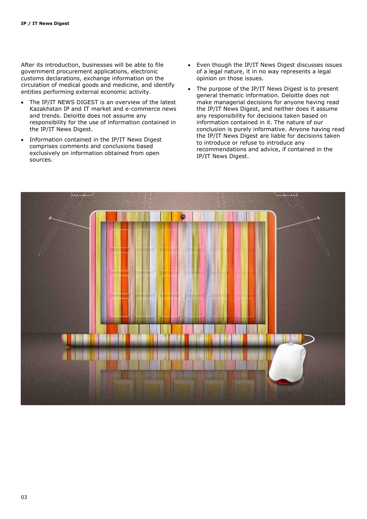After its introduction, businesses will be able to file government procurement applications, electronic customs declarations, exchange information on the circulation of medical goods and medicine, and identify entities performing external economic activity.

- The IP/IT NEWS DIGEST is an overview of the latest Kazakhstan IP and IT market and e-commerce news and trends. Deloitte does not assume any responsibility for the use of information contained in the IP/IT News Digest.
- Information contained in the IP/IT News Digest comprises comments and conclusions based exclusively on information obtained from open sources.
- Even though the IP/IT News Digest discusses issues of a legal nature, it in no way represents a legal opinion on those issues.
- The purpose of the IP/IT News Digest is to present general thematic information. Deloitte does not make managerial decisions for anyone having read the IP/IT News Digest, and neither does it assume any responsibility for decisions taken based on information contained in it. The nature of our conclusion is purely informative. Anyone having read the IP/IT News Digest are liable for decisions taken to introduce or refuse to introduce any recommendations and advice, if contained in the IP/IT News Digest.

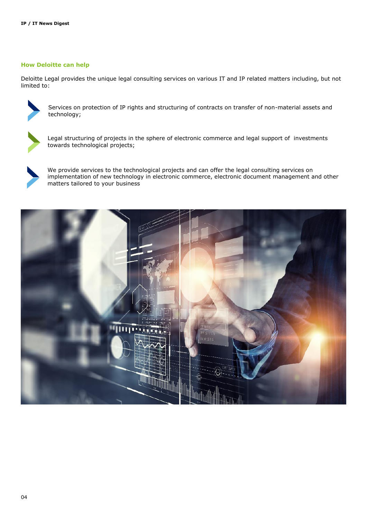# **How Deloitte can help**

Deloitte Legal provides the unique legal consulting services on various IT and IP related matters including, but not limited to:



Services on protection of IP rights and structuring of contracts on transfer of non-material assets and technology;



Legal structuring of projects in the sphere of electronic commerce and legal support of investments towards technological projects;



We provide services to the technological projects and can offer the legal consulting services on implementation of new technology in electronic commerce, electronic document management and other matters tailored to your business